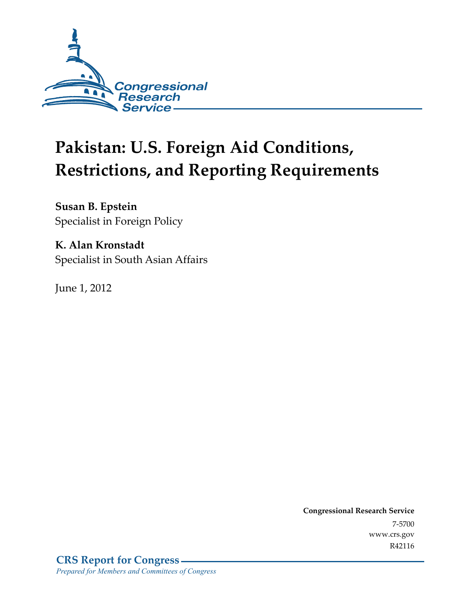

# **Pakistan: U.S. Foreign Aid Conditions, Restrictions, and Reporting Requirements**

**Susan B. Epstein**  Specialist in Foreign Policy

# **K. Alan Kronstadt**  Specialist in South Asian Affairs

June 1, 2012

**Congressional Research Service**  7-5700 www.crs.gov R42116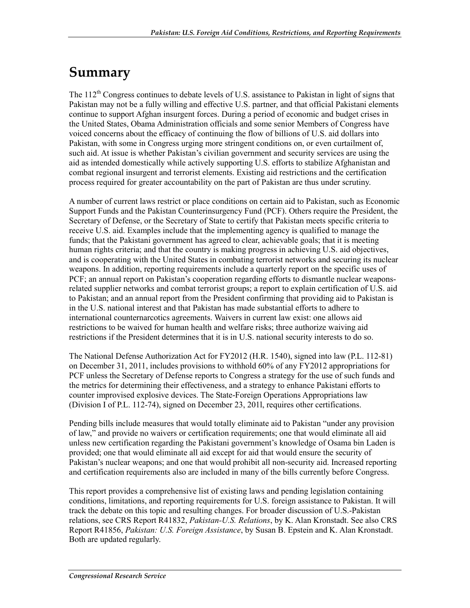# **Summary**

The  $112^{th}$  Congress continues to debate levels of U.S. assistance to Pakistan in light of signs that Pakistan may not be a fully willing and effective U.S. partner, and that official Pakistani elements continue to support Afghan insurgent forces. During a period of economic and budget crises in the United States, Obama Administration officials and some senior Members of Congress have voiced concerns about the efficacy of continuing the flow of billions of U.S. aid dollars into Pakistan, with some in Congress urging more stringent conditions on, or even curtailment of, such aid. At issue is whether Pakistan's civilian government and security services are using the aid as intended domestically while actively supporting U.S. efforts to stabilize Afghanistan and combat regional insurgent and terrorist elements. Existing aid restrictions and the certification process required for greater accountability on the part of Pakistan are thus under scrutiny.

A number of current laws restrict or place conditions on certain aid to Pakistan, such as Economic Support Funds and the Pakistan Counterinsurgency Fund (PCF). Others require the President, the Secretary of Defense, or the Secretary of State to certify that Pakistan meets specific criteria to receive U.S. aid. Examples include that the implementing agency is qualified to manage the funds; that the Pakistani government has agreed to clear, achievable goals; that it is meeting human rights criteria; and that the country is making progress in achieving U.S. aid objectives, and is cooperating with the United States in combating terrorist networks and securing its nuclear weapons. In addition, reporting requirements include a quarterly report on the specific uses of PCF; an annual report on Pakistan's cooperation regarding efforts to dismantle nuclear weaponsrelated supplier networks and combat terrorist groups; a report to explain certification of U.S. aid to Pakistan; and an annual report from the President confirming that providing aid to Pakistan is in the U.S. national interest and that Pakistan has made substantial efforts to adhere to international counternarcotics agreements. Waivers in current law exist: one allows aid restrictions to be waived for human health and welfare risks; three authorize waiving aid restrictions if the President determines that it is in U.S. national security interests to do so.

The National Defense Authorization Act for FY2012 (H.R. 1540), signed into law (P.L. 112-81) on December 31, 2011, includes provisions to withhold 60% of any FY2012 appropriations for PCF unless the Secretary of Defense reports to Congress a strategy for the use of such funds and the metrics for determining their effectiveness, and a strategy to enhance Pakistani efforts to counter improvised explosive devices. The State-Foreign Operations Appropriations law (Division I of P.L. 112-74), signed on December 23, 201l, requires other certifications.

Pending bills include measures that would totally eliminate aid to Pakistan "under any provision of law," and provide no waivers or certification requirements; one that would eliminate all aid unless new certification regarding the Pakistani government's knowledge of Osama bin Laden is provided; one that would eliminate all aid except for aid that would ensure the security of Pakistan's nuclear weapons; and one that would prohibit all non-security aid. Increased reporting and certification requirements also are included in many of the bills currently before Congress.

This report provides a comprehensive list of existing laws and pending legislation containing conditions, limitations, and reporting requirements for U.S. foreign assistance to Pakistan. It will track the debate on this topic and resulting changes. For broader discussion of U.S.-Pakistan relations, see CRS Report R41832, *Pakistan-U.S. Relations*, by K. Alan Kronstadt. See also CRS Report R41856, *Pakistan: U.S. Foreign Assistance*, by Susan B. Epstein and K. Alan Kronstadt. Both are updated regularly.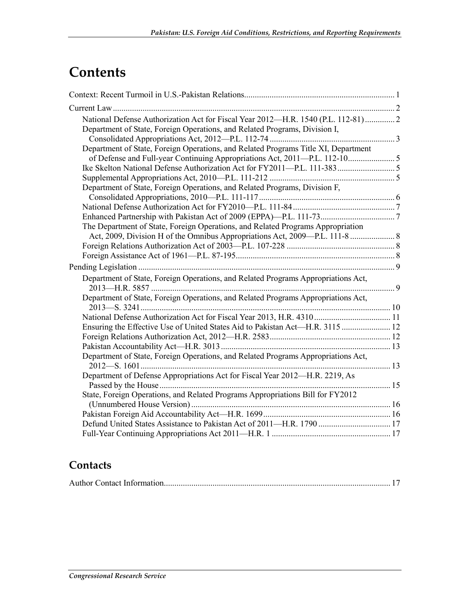# **Contents**

| National Defense Authorization Act for Fiscal Year 2012-H.R. 1540 (P.L. 112-81) 2  |  |
|------------------------------------------------------------------------------------|--|
| Department of State, Foreign Operations, and Related Programs, Division I,         |  |
|                                                                                    |  |
| Department of State, Foreign Operations, and Related Programs Title XI, Department |  |
|                                                                                    |  |
|                                                                                    |  |
|                                                                                    |  |
| Department of State, Foreign Operations, and Related Programs, Division F,         |  |
|                                                                                    |  |
|                                                                                    |  |
|                                                                                    |  |
| The Department of State, Foreign Operations, and Related Programs Appropriation    |  |
| Act, 2009, Division H of the Omnibus Appropriations Act, 2009—P.L. 111-8  8        |  |
|                                                                                    |  |
|                                                                                    |  |
|                                                                                    |  |
| Department of State, Foreign Operations, and Related Programs Appropriations Act,  |  |
|                                                                                    |  |
| Department of State, Foreign Operations, and Related Programs Appropriations Act,  |  |
| National Defense Authorization Act for Fiscal Year 2013, H.R. 4310  11             |  |
| Ensuring the Effective Use of United States Aid to Pakistan Act—H.R. 3115  12      |  |
|                                                                                    |  |
|                                                                                    |  |
| Department of State, Foreign Operations, and Related Programs Appropriations Act,  |  |
|                                                                                    |  |
| Department of Defense Appropriations Act for Fiscal Year 2012-H.R. 2219, As        |  |
|                                                                                    |  |
| State, Foreign Operations, and Related Programs Appropriations Bill for FY2012     |  |
|                                                                                    |  |
|                                                                                    |  |
| Defund United States Assistance to Pakistan Act of 2011—H.R. 1790  17              |  |
|                                                                                    |  |

#### **Contacts**

|--|--|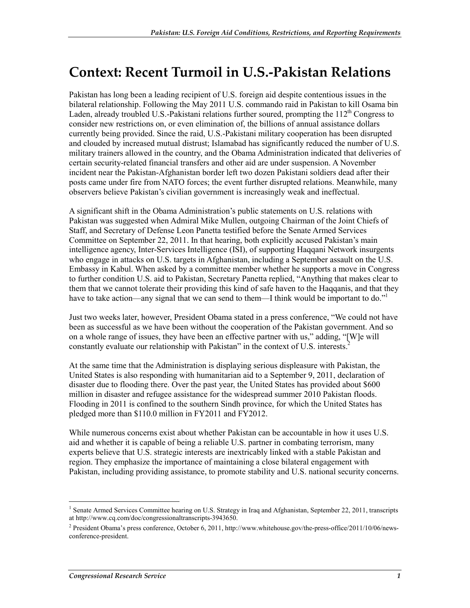# **Context: Recent Turmoil in U.S.-Pakistan Relations**

Pakistan has long been a leading recipient of U.S. foreign aid despite contentious issues in the bilateral relationship. Following the May 2011 U.S. commando raid in Pakistan to kill Osama bin Laden, already troubled U.S.-Pakistani relations further soured, prompting the  $112<sup>th</sup>$  Congress to consider new restrictions on, or even elimination of, the billions of annual assistance dollars currently being provided. Since the raid, U.S.-Pakistani military cooperation has been disrupted and clouded by increased mutual distrust; Islamabad has significantly reduced the number of U.S. military trainers allowed in the country, and the Obama Administration indicated that deliveries of certain security-related financial transfers and other aid are under suspension. A November incident near the Pakistan-Afghanistan border left two dozen Pakistani soldiers dead after their posts came under fire from NATO forces; the event further disrupted relations. Meanwhile, many observers believe Pakistan's civilian government is increasingly weak and ineffectual.

A significant shift in the Obama Administration's public statements on U.S. relations with Pakistan was suggested when Admiral Mike Mullen, outgoing Chairman of the Joint Chiefs of Staff, and Secretary of Defense Leon Panetta testified before the Senate Armed Services Committee on September 22, 2011. In that hearing, both explicitly accused Pakistan's main intelligence agency, Inter-Services Intelligence (ISI), of supporting Haqqani Network insurgents who engage in attacks on U.S. targets in Afghanistan, including a September assault on the U.S. Embassy in Kabul. When asked by a committee member whether he supports a move in Congress to further condition U.S. aid to Pakistan, Secretary Panetta replied, "Anything that makes clear to them that we cannot tolerate their providing this kind of safe haven to the Haqqanis, and that they have to take action—any signal that we can send to them—I think would be important to do."<sup>1</sup>

Just two weeks later, however, President Obama stated in a press conference, "We could not have been as successful as we have been without the cooperation of the Pakistan government. And so on a whole range of issues, they have been an effective partner with us," adding, "[W]e will constantly evaluate our relationship with Pakistan" in the context of U.S. interests.<sup>2</sup>

At the same time that the Administration is displaying serious displeasure with Pakistan, the United States is also responding with humanitarian aid to a September 9, 2011, declaration of disaster due to flooding there. Over the past year, the United States has provided about \$600 million in disaster and refugee assistance for the widespread summer 2010 Pakistan floods. Flooding in 2011 is confined to the southern Sindh province, for which the United States has pledged more than \$110.0 million in FY2011 and FY2012.

While numerous concerns exist about whether Pakistan can be accountable in how it uses U.S. aid and whether it is capable of being a reliable U.S. partner in combating terrorism, many experts believe that U.S. strategic interests are inextricably linked with a stable Pakistan and region. They emphasize the importance of maintaining a close bilateral engagement with Pakistan, including providing assistance, to promote stability and U.S. national security concerns.

<sup>&</sup>lt;sup>1</sup> Senate Armed Services Committee hearing on U.S. Strategy in Iraq and Afghanistan, September 22, 2011, transcripts at http://www.cq.com/doc/congressionaltranscripts-3943650.

<sup>&</sup>lt;sup>2</sup> President Obama's press conference, October 6, 2011, http://www.whitehouse.gov/the-press-office/2011/10/06/newsconference-president.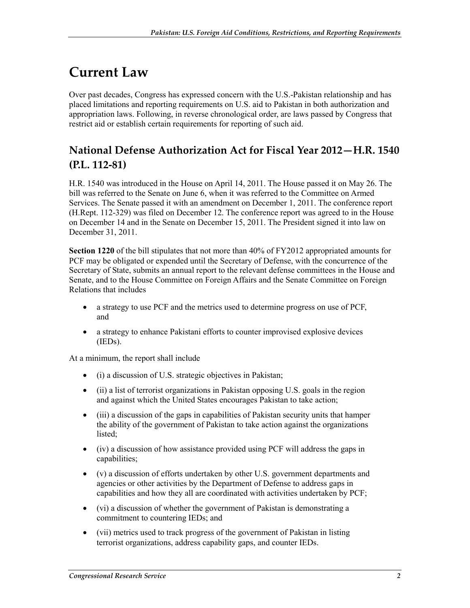# **Current Law**

Over past decades, Congress has expressed concern with the U.S.-Pakistan relationship and has placed limitations and reporting requirements on U.S. aid to Pakistan in both authorization and appropriation laws. Following, in reverse chronological order, are laws passed by Congress that restrict aid or establish certain requirements for reporting of such aid.

### **National Defense Authorization Act for Fiscal Year 2012—H.R. 1540 (P.L. 112-81)**

H.R. 1540 was introduced in the House on April 14, 2011. The House passed it on May 26. The bill was referred to the Senate on June 6, when it was referred to the Committee on Armed Services. The Senate passed it with an amendment on December 1, 2011. The conference report (H.Rept. 112-329) was filed on December 12. The conference report was agreed to in the House on December 14 and in the Senate on December 15, 2011. The President signed it into law on December 31, 2011.

**Section 1220** of the bill stipulates that not more than 40% of FY2012 appropriated amounts for PCF may be obligated or expended until the Secretary of Defense, with the concurrence of the Secretary of State, submits an annual report to the relevant defense committees in the House and Senate, and to the House Committee on Foreign Affairs and the Senate Committee on Foreign Relations that includes

- a strategy to use PCF and the metrics used to determine progress on use of PCF, and
- a strategy to enhance Pakistani efforts to counter improvised explosive devices (IEDs).

At a minimum, the report shall include

- (i) a discussion of U.S. strategic objectives in Pakistan;
- (ii) a list of terrorist organizations in Pakistan opposing U.S. goals in the region and against which the United States encourages Pakistan to take action;
- (iii) a discussion of the gaps in capabilities of Pakistan security units that hamper the ability of the government of Pakistan to take action against the organizations listed;
- (iv) a discussion of how assistance provided using PCF will address the gaps in capabilities;
- (v) a discussion of efforts undertaken by other U.S. government departments and agencies or other activities by the Department of Defense to address gaps in capabilities and how they all are coordinated with activities undertaken by PCF;
- (vi) a discussion of whether the government of Pakistan is demonstrating a commitment to countering IEDs; and
- (vii) metrics used to track progress of the government of Pakistan in listing terrorist organizations, address capability gaps, and counter IEDs.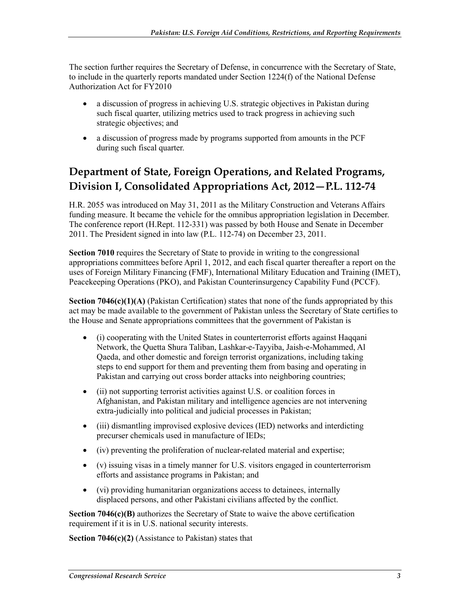The section further requires the Secretary of Defense, in concurrence with the Secretary of State, to include in the quarterly reports mandated under Section 1224(f) of the National Defense Authorization Act for FY2010

- a discussion of progress in achieving U.S. strategic objectives in Pakistan during such fiscal quarter, utilizing metrics used to track progress in achieving such strategic objectives; and
- a discussion of progress made by programs supported from amounts in the PCF during such fiscal quarter.

# **Department of State, Foreign Operations, and Related Programs, Division I, Consolidated Appropriations Act, 2012—P.L. 112-74**

H.R. 2055 was introduced on May 31, 2011 as the Military Construction and Veterans Affairs funding measure. It became the vehicle for the omnibus appropriation legislation in December. The conference report (H.Rept. 112-331) was passed by both House and Senate in December 2011. The President signed in into law (P.L. 112-74) on December 23, 2011.

**Section 7010** requires the Secretary of State to provide in writing to the congressional appropriations committees before April 1, 2012, and each fiscal quarter thereafter a report on the uses of Foreign Military Financing (FMF), International Military Education and Training (IMET), Peacekeeping Operations (PKO), and Pakistan Counterinsurgency Capability Fund (PCCF).

**Section 7046(c)(1)(A) (Pakistan Certification) states that none of the funds appropriated by this** act may be made available to the government of Pakistan unless the Secretary of State certifies to the House and Senate appropriations committees that the government of Pakistan is

- (i) cooperating with the United States in counterterrorist efforts against Haqqani Network, the Quetta Shura Taliban, Lashkar-e-Tayyiba, Jaish-e-Mohammed, Al Qaeda, and other domestic and foreign terrorist organizations, including taking steps to end support for them and preventing them from basing and operating in Pakistan and carrying out cross border attacks into neighboring countries;
- (ii) not supporting terrorist activities against U.S. or coalition forces in Afghanistan, and Pakistan military and intelligence agencies are not intervening extra-judicially into political and judicial processes in Pakistan;
- (iii) dismantling improvised explosive devices (IED) networks and interdicting precurser chemicals used in manufacture of IEDs;
- (iv) preventing the proliferation of nuclear-related material and expertise;
- (v) issuing visas in a timely manner for U.S. visitors engaged in counterterrorism efforts and assistance programs in Pakistan; and
- (vi) providing humanitarian organizations access to detainees, internally displaced persons, and other Pakistani civilians affected by the conflict.

**Section 7046(c)(B)** authorizes the Secretary of State to waive the above certification requirement if it is in U.S. national security interests.

**Section 7046(c)(2)** (Assistance to Pakistan) states that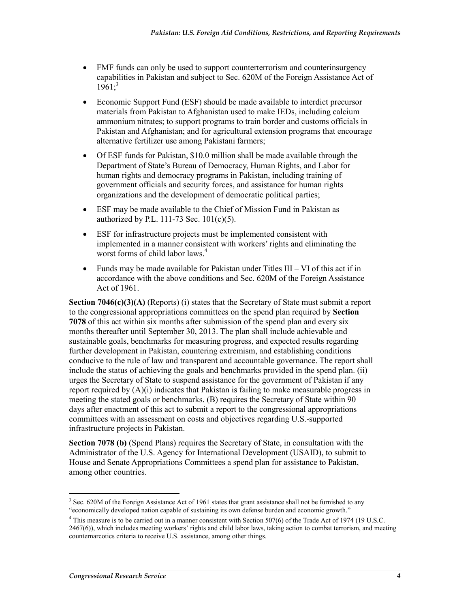- FMF funds can only be used to support counterterrorism and counterinsurgency capabilities in Pakistan and subject to Sec. 620M of the Foreign Assistance Act of  $1961$ <sup>3</sup>
- Economic Support Fund (ESF) should be made available to interdict precursor materials from Pakistan to Afghanistan used to make IEDs, including calcium ammonium nitrates; to support programs to train border and customs officials in Pakistan and Afghanistan; and for agricultural extension programs that encourage alternative fertilizer use among Pakistani farmers;
- Of ESF funds for Pakistan, \$10.0 million shall be made available through the Department of State's Bureau of Democracy, Human Rights, and Labor for human rights and democracy programs in Pakistan, including training of government officials and security forces, and assistance for human rights organizations and the development of democratic political parties;
- ESF may be made available to the Chief of Mission Fund in Pakistan as authorized by P.L. 111-73 Sec. 101(c)(5).
- ESF for infrastructure projects must be implemented consistent with implemented in a manner consistent with workers' rights and eliminating the worst forms of child labor laws.<sup>4</sup>
- Funds may be made available for Pakistan under Titles III VI of this act if in accordance with the above conditions and Sec. 620M of the Foreign Assistance Act of 1961.

**Section 7046(c)(3)(A)** (Reports) (i) states that the Secretary of State must submit a report to the congressional appropriations committees on the spend plan required by **Section 7078** of this act within six months after submission of the spend plan and every six months thereafter until September 30, 2013. The plan shall include achievable and sustainable goals, benchmarks for measuring progress, and expected results regarding further development in Pakistan, countering extremism, and establishing conditions conducive to the rule of law and transparent and accountable governance. The report shall include the status of achieving the goals and benchmarks provided in the spend plan. (ii) urges the Secretary of State to suspend assistance for the government of Pakistan if any report required by (A)(i) indicates that Pakistan is failing to make measurable progress in meeting the stated goals or benchmarks. (B) requires the Secretary of State within 90 days after enactment of this act to submit a report to the congressional appropriations committees with an assessment on costs and objectives regarding U.S.-supported infrastructure projects in Pakistan.

**Section 7078 (b)** (Spend Plans) requires the Secretary of State, in consultation with the Administrator of the U.S. Agency for International Development (USAID), to submit to House and Senate Appropriations Committees a spend plan for assistance to Pakistan, among other countries.

<sup>1</sup> <sup>3</sup> Sec. 620M of the Foreign Assistance Act of 1961 states that grant assistance shall not be furnished to any "economically developed nation capable of sustaining its own defense burden and economic growth."

<sup>&</sup>lt;sup>4</sup> This measure is to be carried out in a manner consistent with Section 507(6) of the Trade Act of 1974 (19 U.S.C. 2467(6)), which includes meeting workers' rights and child labor laws, taking action to combat terrorism, and meeting counternarcotics criteria to receive U.S. assistance, among other things.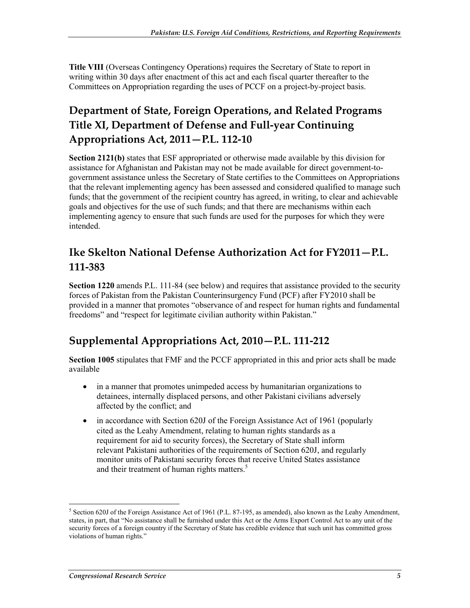**Title VIII** (Overseas Contingency Operations) requires the Secretary of State to report in writing within 30 days after enactment of this act and each fiscal quarter thereafter to the Committees on Appropriation regarding the uses of PCCF on a project-by-project basis.

# **Department of State, Foreign Operations, and Related Programs Title XI, Department of Defense and Full-year Continuing Appropriations Act, 2011—P.L. 112-10**

**Section 2121(b)** states that ESF appropriated or otherwise made available by this division for assistance for Afghanistan and Pakistan may not be made available for direct government-togovernment assistance unless the Secretary of State certifies to the Committees on Appropriations that the relevant implementing agency has been assessed and considered qualified to manage such funds; that the government of the recipient country has agreed, in writing, to clear and achievable goals and objectives for the use of such funds; and that there are mechanisms within each implementing agency to ensure that such funds are used for the purposes for which they were intended.

### **Ike Skelton National Defense Authorization Act for FY2011—P.L. 111-383**

**Section 1220** amends P.L. 111-84 (see below) and requires that assistance provided to the security forces of Pakistan from the Pakistan Counterinsurgency Fund (PCF) after FY2010 shall be provided in a manner that promotes "observance of and respect for human rights and fundamental freedoms" and "respect for legitimate civilian authority within Pakistan."

# **Supplemental Appropriations Act, 2010—P.L. 111-212**

**Section 1005** stipulates that FMF and the PCCF appropriated in this and prior acts shall be made available

- in a manner that promotes unimpeded access by humanitarian organizations to detainees, internally displaced persons, and other Pakistani civilians adversely affected by the conflict; and
- in accordance with Section 620J of the Foreign Assistance Act of 1961 (popularly cited as the Leahy Amendment, relating to human rights standards as a requirement for aid to security forces), the Secretary of State shall inform relevant Pakistani authorities of the requirements of Section 620J, and regularly monitor units of Pakistani security forces that receive United States assistance and their treatment of human rights matters.<sup>5</sup>

 $<sup>5</sup>$  Section 620J of the Foreign Assistance Act of 1961 (P.L. 87-195, as amended), also known as the Leahy Amendment,</sup> states, in part, that "No assistance shall be furnished under this Act or the Arms Export Control Act to any unit of the security forces of a foreign country if the Secretary of State has credible evidence that such unit has committed gross violations of human rights."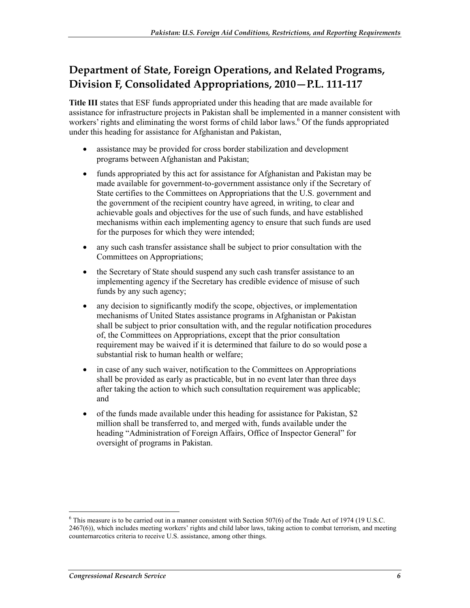# **Department of State, Foreign Operations, and Related Programs, Division F, Consolidated Appropriations, 2010—P.L. 111-117**

**Title III** states that ESF funds appropriated under this heading that are made available for assistance for infrastructure projects in Pakistan shall be implemented in a manner consistent with workers' rights and eliminating the worst forms of child labor laws.<sup>6</sup> Of the funds appropriated under this heading for assistance for Afghanistan and Pakistan,

- assistance may be provided for cross border stabilization and development programs between Afghanistan and Pakistan;
- funds appropriated by this act for assistance for Afghanistan and Pakistan may be made available for government-to-government assistance only if the Secretary of State certifies to the Committees on Appropriations that the U.S. government and the government of the recipient country have agreed, in writing, to clear and achievable goals and objectives for the use of such funds, and have established mechanisms within each implementing agency to ensure that such funds are used for the purposes for which they were intended;
- any such cash transfer assistance shall be subject to prior consultation with the Committees on Appropriations;
- the Secretary of State should suspend any such cash transfer assistance to an implementing agency if the Secretary has credible evidence of misuse of such funds by any such agency;
- any decision to significantly modify the scope, objectives, or implementation mechanisms of United States assistance programs in Afghanistan or Pakistan shall be subject to prior consultation with, and the regular notification procedures of, the Committees on Appropriations, except that the prior consultation requirement may be waived if it is determined that failure to do so would pose a substantial risk to human health or welfare;
- in case of any such waiver, notification to the Committees on Appropriations shall be provided as early as practicable, but in no event later than three days after taking the action to which such consultation requirement was applicable; and
- of the funds made available under this heading for assistance for Pakistan, \$2 million shall be transferred to, and merged with, funds available under the heading "Administration of Foreign Affairs, Office of Inspector General" for oversight of programs in Pakistan.

<sup>&</sup>lt;sup>6</sup> This measure is to be carried out in a manner consistent with Section 507(6) of the Trade Act of 1974 (19 U.S.C. 2467(6)), which includes meeting workers' rights and child labor laws, taking action to combat terrorism, and meeting counternarcotics criteria to receive U.S. assistance, among other things.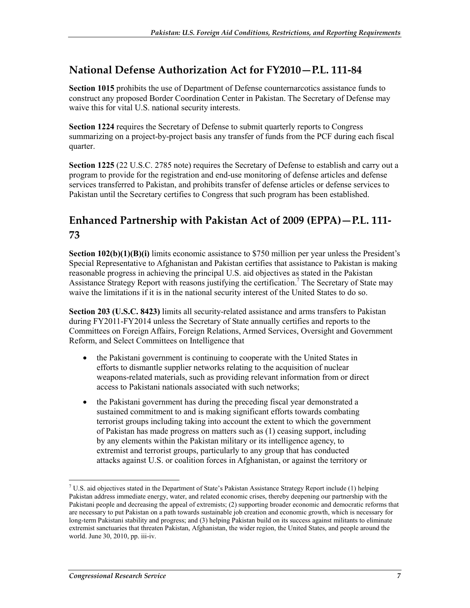#### **National Defense Authorization Act for FY2010—P.L. 111-84**

**Section 1015** prohibits the use of Department of Defense counternarcotics assistance funds to construct any proposed Border Coordination Center in Pakistan. The Secretary of Defense may waive this for vital U.S. national security interests.

**Section 1224** requires the Secretary of Defense to submit quarterly reports to Congress summarizing on a project-by-project basis any transfer of funds from the PCF during each fiscal quarter.

**Section 1225** (22 U.S.C. 2785 note) requires the Secretary of Defense to establish and carry out a program to provide for the registration and end-use monitoring of defense articles and defense services transferred to Pakistan, and prohibits transfer of defense articles or defense services to Pakistan until the Secretary certifies to Congress that such program has been established.

# **Enhanced Partnership with Pakistan Act of 2009 (EPPA)—P.L. 111- 73**

**Section 102(b)(1)(B)(i)** limits economic assistance to \$750 million per year unless the President's Special Representative to Afghanistan and Pakistan certifies that assistance to Pakistan is making reasonable progress in achieving the principal U.S. aid objectives as stated in the Pakistan Assistance Strategy Report with reasons justifying the certification.<sup>7</sup> The Secretary of State may waive the limitations if it is in the national security interest of the United States to do so.

**Section 203 (U.S.C. 8423)** limits all security-related assistance and arms transfers to Pakistan during FY2011-FY2014 unless the Secretary of State annually certifies and reports to the Committees on Foreign Affairs, Foreign Relations, Armed Services, Oversight and Government Reform, and Select Committees on Intelligence that

- the Pakistani government is continuing to cooperate with the United States in efforts to dismantle supplier networks relating to the acquisition of nuclear weapons-related materials, such as providing relevant information from or direct access to Pakistani nationals associated with such networks;
- the Pakistani government has during the preceding fiscal year demonstrated a sustained commitment to and is making significant efforts towards combating terrorist groups including taking into account the extent to which the government of Pakistan has made progress on matters such as (1) ceasing support, including by any elements within the Pakistan military or its intelligence agency, to extremist and terrorist groups, particularly to any group that has conducted attacks against U.S. or coalition forces in Afghanistan, or against the territory or

 $^7$  U.S. aid objectives stated in the Department of State's Pakistan Assistance Strategy Report include (1) helping Pakistan address immediate energy, water, and related economic crises, thereby deepening our partnership with the Pakistani people and decreasing the appeal of extremists; (2) supporting broader economic and democratic reforms that are necessary to put Pakistan on a path towards sustainable job creation and economic growth, which is necessary for long-term Pakistani stability and progress; and (3) helping Pakistan build on its success against militants to eliminate extremist sanctuaries that threaten Pakistan, Afghanistan, the wider region, the United States, and people around the world. June 30, 2010, pp. iii-iv.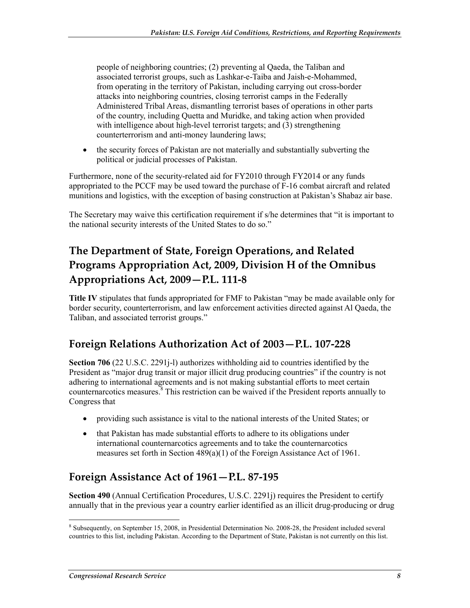people of neighboring countries; (2) preventing al Qaeda, the Taliban and associated terrorist groups, such as Lashkar-e-Taiba and Jaish-e-Mohammed, from operating in the territory of Pakistan, including carrying out cross-border attacks into neighboring countries, closing terrorist camps in the Federally Administered Tribal Areas, dismantling terrorist bases of operations in other parts of the country, including Quetta and Muridke, and taking action when provided with intelligence about high-level terrorist targets; and (3) strengthening counterterrorism and anti-money laundering laws;

• the security forces of Pakistan are not materially and substantially subverting the political or judicial processes of Pakistan.

Furthermore, none of the security-related aid for FY2010 through FY2014 or any funds appropriated to the PCCF may be used toward the purchase of F-16 combat aircraft and related munitions and logistics, with the exception of basing construction at Pakistan's Shabaz air base.

The Secretary may waive this certification requirement if s/he determines that "it is important to the national security interests of the United States to do so."

# **The Department of State, Foreign Operations, and Related Programs Appropriation Act, 2009, Division H of the Omnibus Appropriations Act, 2009—P.L. 111-8**

**Title IV** stipulates that funds appropriated for FMF to Pakistan "may be made available only for border security, counterterrorism, and law enforcement activities directed against Al Qaeda, the Taliban, and associated terrorist groups."

# **Foreign Relations Authorization Act of 2003—P.L. 107-228**

**Section 706** (22 U.S.C. 2291j-l) authorizes withholding aid to countries identified by the President as "major drug transit or major illicit drug producing countries" if the country is not adhering to international agreements and is not making substantial efforts to meet certain counternarcotics measures.<sup>8</sup> This restriction can be waived if the President reports annually to Congress that

- providing such assistance is vital to the national interests of the United States; or
- that Pakistan has made substantial efforts to adhere to its obligations under international counternarcotics agreements and to take the counternarcotics measures set forth in Section 489(a)(1) of the Foreign Assistance Act of 1961.

#### **Foreign Assistance Act of 1961—P.L. 87-195**

**Section 490** (Annual Certification Procedures, U.S.C. 2291j) requires the President to certify annually that in the previous year a country earlier identified as an illicit drug-producing or drug

Example 2014<br>
<sup>8</sup> Subsequently, on September 15, 2008, in Presidential Determination No. 2008-28, the President included several countries to this list, including Pakistan. According to the Department of State, Pakistan is not currently on this list.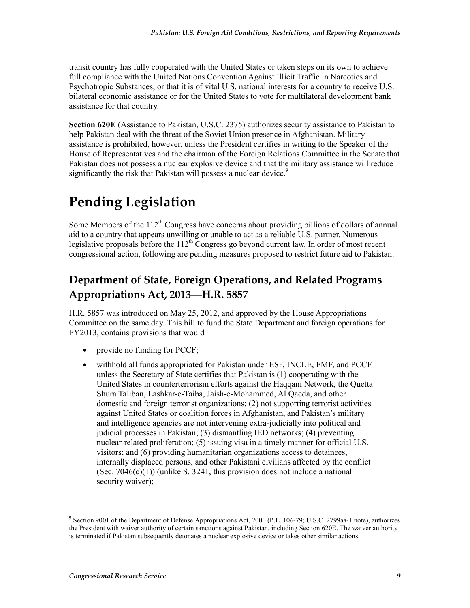transit country has fully cooperated with the United States or taken steps on its own to achieve full compliance with the United Nations Convention Against Illicit Traffic in Narcotics and Psychotropic Substances, or that it is of vital U.S. national interests for a country to receive U.S. bilateral economic assistance or for the United States to vote for multilateral development bank assistance for that country.

**Section 620E** (Assistance to Pakistan, U.S.C. 2375) authorizes security assistance to Pakistan to help Pakistan deal with the threat of the Soviet Union presence in Afghanistan. Military assistance is prohibited, however, unless the President certifies in writing to the Speaker of the House of Representatives and the chairman of the Foreign Relations Committee in the Senate that Pakistan does not possess a nuclear explosive device and that the military assistance will reduce significantly the risk that Pakistan will possess a nuclear device.<sup>9</sup>

# **Pending Legislation**

Some Members of the  $112<sup>th</sup>$  Congress have concerns about providing billions of dollars of annual aid to a country that appears unwilling or unable to act as a reliable U.S. partner. Numerous legislative proposals before the  $112<sup>th</sup>$  Congress go beyond current law. In order of most recent congressional action, following are pending measures proposed to restrict future aid to Pakistan:

# **Department of State, Foreign Operations, and Related Programs Appropriations Act, 2013—H.R. 5857**

H.R. 5857 was introduced on May 25, 2012, and approved by the House Appropriations Committee on the same day. This bill to fund the State Department and foreign operations for FY2013, contains provisions that would

- provide no funding for PCCF;
- withhold all funds appropriated for Pakistan under ESF, INCLE, FMF, and PCCF unless the Secretary of State certifies that Pakistan is (1) cooperating with the United States in counterterrorism efforts against the Haqqani Network, the Quetta Shura Taliban, Lashkar-e-Taiba, Jaish-e-Mohammed, Al Qaeda, and other domestic and foreign terrorist organizations; (2) not supporting terrorist activities against United States or coalition forces in Afghanistan, and Pakistan's military and intelligence agencies are not intervening extra-judicially into political and judicial processes in Pakistan; (3) dismantling IED networks; (4) preventing nuclear-related proliferation; (5) issuing visa in a timely manner for official U.S. visitors; and (6) providing humanitarian organizations access to detainees, internally displaced persons, and other Pakistani civilians affected by the conflict (Sec.  $7046(c)(1)$ ) (unlike S. 3241, this provision does not include a national security waiver);

<sup>&</sup>lt;sup>9</sup> Section 9001 of the Department of Defense Appropriations Act, 2000 (P.L. 106-79; U.S.C. 2799aa-1 note), authorizes the President with waiver authority of certain sanctions against Pakistan, including Section 620E. The waiver authority is terminated if Pakistan subsequently detonates a nuclear explosive device or takes other similar actions.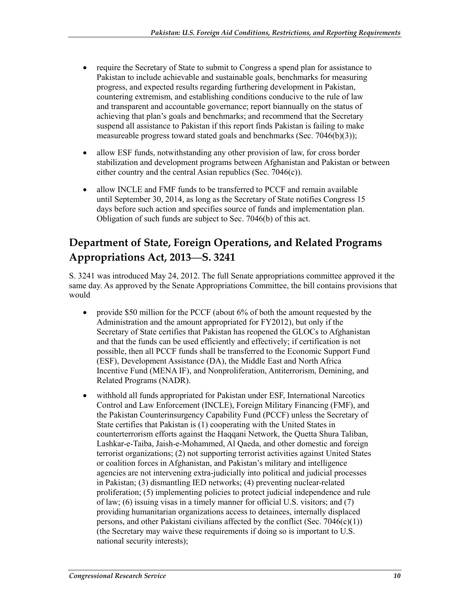- require the Secretary of State to submit to Congress a spend plan for assistance to Pakistan to include achievable and sustainable goals, benchmarks for measuring progress, and expected results regarding furthering development in Pakistan, countering extremism, and establishing conditions conducive to the rule of law and transparent and accountable governance; report biannually on the status of achieving that plan's goals and benchmarks; and recommend that the Secretary suspend all assistance to Pakistan if this report finds Pakistan is failing to make measureable progress toward stated goals and benchmarks (Sec. 7046(b)(3));
- allow ESF funds, notwithstanding any other provision of law, for cross border stabilization and development programs between Afghanistan and Pakistan or between either country and the central Asian republics (Sec. 7046(c)).
- allow INCLE and FMF funds to be transferred to PCCF and remain available until September 30, 2014, as long as the Secretary of State notifies Congress 15 days before such action and specifies source of funds and implementation plan. Obligation of such funds are subject to Sec. 7046(b) of this act.

# **Department of State, Foreign Operations, and Related Programs Appropriations Act, 2013—S. 3241**

S. 3241 was introduced May 24, 2012. The full Senate appropriations committee approved it the same day. As approved by the Senate Appropriations Committee, the bill contains provisions that would

- provide \$50 million for the PCCF (about 6% of both the amount requested by the Administration and the amount appropriated for FY2012), but only if the Secretary of State certifies that Pakistan has reopened the GLOCs to Afghanistan and that the funds can be used efficiently and effectively; if certification is not possible, then all PCCF funds shall be transferred to the Economic Support Fund (ESF), Development Assistance (DA), the Middle East and North Africa Incentive Fund (MENA IF), and Nonproliferation, Antiterrorism, Demining, and Related Programs (NADR).
- withhold all funds appropriated for Pakistan under ESF, International Narcotics Control and Law Enforcement (INCLE), Foreign Military Financing (FMF), and the Pakistan Counterinsurgency Capability Fund (PCCF) unless the Secretary of State certifies that Pakistan is (1) cooperating with the United States in counterterrorism efforts against the Haqqani Network, the Quetta Shura Taliban, Lashkar-e-Taiba, Jaish-e-Mohammed, Al Qaeda, and other domestic and foreign terrorist organizations; (2) not supporting terrorist activities against United States or coalition forces in Afghanistan, and Pakistan's military and intelligence agencies are not intervening extra-judicially into political and judicial processes in Pakistan; (3) dismantling IED networks; (4) preventing nuclear-related proliferation; (5) implementing policies to protect judicial independence and rule of law; (6) issuing visas in a timely manner for official U.S. visitors; and (7) providing humanitarian organizations access to detainees, internally displaced persons, and other Pakistani civilians affected by the conflict (Sec. 7046(c)(1)) (the Secretary may waive these requirements if doing so is important to U.S. national security interests);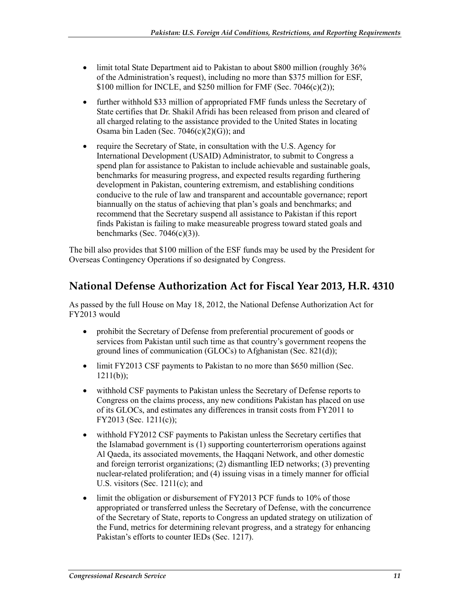- limit total State Department aid to Pakistan to about \$800 million (roughly 36% of the Administration's request), including no more than \$375 million for ESF, \$100 million for INCLE, and \$250 million for FMF (Sec. 7046(c)(2));
- further withhold \$33 million of appropriated FMF funds unless the Secretary of State certifies that Dr. Shakil Afridi has been released from prison and cleared of all charged relating to the assistance provided to the United States in locating Osama bin Laden (Sec.  $7046(c)(2)(G)$ ); and
- require the Secretary of State, in consultation with the U.S. Agency for International Development (USAID) Administrator, to submit to Congress a spend plan for assistance to Pakistan to include achievable and sustainable goals, benchmarks for measuring progress, and expected results regarding furthering development in Pakistan, countering extremism, and establishing conditions conducive to the rule of law and transparent and accountable governance; report biannually on the status of achieving that plan's goals and benchmarks; and recommend that the Secretary suspend all assistance to Pakistan if this report finds Pakistan is failing to make measureable progress toward stated goals and benchmarks (Sec. 7046(c)(3)).

The bill also provides that \$100 million of the ESF funds may be used by the President for Overseas Contingency Operations if so designated by Congress.

#### **National Defense Authorization Act for Fiscal Year 2013, H.R. 4310**

As passed by the full House on May 18, 2012, the National Defense Authorization Act for FY2013 would

- prohibit the Secretary of Defense from preferential procurement of goods or services from Pakistan until such time as that country's government reopens the ground lines of communication (GLOCs) to Afghanistan (Sec. 821(d));
- limit FY2013 CSF payments to Pakistan to no more than \$650 million (Sec.  $1211(b)$ ;
- withhold CSF payments to Pakistan unless the Secretary of Defense reports to Congress on the claims process, any new conditions Pakistan has placed on use of its GLOCs, and estimates any differences in transit costs from FY2011 to FY2013 (Sec. 1211(c));
- withhold FY2012 CSF payments to Pakistan unless the Secretary certifies that the Islamabad government is (1) supporting counterterrorism operations against Al Qaeda, its associated movements, the Haqqani Network, and other domestic and foreign terrorist organizations; (2) dismantling IED networks; (3) preventing nuclear-related proliferation; and (4) issuing visas in a timely manner for official U.S. visitors (Sec. 1211(c); and
- limit the obligation or disbursement of FY2013 PCF funds to 10% of those appropriated or transferred unless the Secretary of Defense, with the concurrence of the Secretary of State, reports to Congress an updated strategy on utilization of the Fund, metrics for determining relevant progress, and a strategy for enhancing Pakistan's efforts to counter IEDs (Sec. 1217).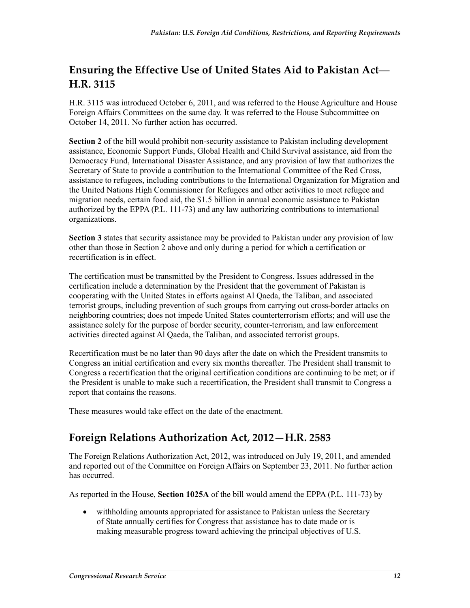## **Ensuring the Effective Use of United States Aid to Pakistan Act— H.R. 3115**

H.R. 3115 was introduced October 6, 2011, and was referred to the House Agriculture and House Foreign Affairs Committees on the same day. It was referred to the House Subcommittee on October 14, 2011. No further action has occurred.

**Section 2** of the bill would prohibit non-security assistance to Pakistan including development assistance, Economic Support Funds, Global Health and Child Survival assistance, aid from the Democracy Fund, International Disaster Assistance, and any provision of law that authorizes the Secretary of State to provide a contribution to the International Committee of the Red Cross, assistance to refugees, including contributions to the International Organization for Migration and the United Nations High Commissioner for Refugees and other activities to meet refugee and migration needs, certain food aid, the \$1.5 billion in annual economic assistance to Pakistan authorized by the EPPA (P.L. 111-73) and any law authorizing contributions to international organizations.

**Section 3** states that security assistance may be provided to Pakistan under any provision of law other than those in Section 2 above and only during a period for which a certification or recertification is in effect.

The certification must be transmitted by the President to Congress. Issues addressed in the certification include a determination by the President that the government of Pakistan is cooperating with the United States in efforts against Al Qaeda, the Taliban, and associated terrorist groups, including prevention of such groups from carrying out cross-border attacks on neighboring countries; does not impede United States counterterrorism efforts; and will use the assistance solely for the purpose of border security, counter-terrorism, and law enforcement activities directed against Al Qaeda, the Taliban, and associated terrorist groups.

Recertification must be no later than 90 days after the date on which the President transmits to Congress an initial certification and every six months thereafter. The President shall transmit to Congress a recertification that the original certification conditions are continuing to be met; or if the President is unable to make such a recertification, the President shall transmit to Congress a report that contains the reasons.

These measures would take effect on the date of the enactment.

#### **Foreign Relations Authorization Act, 2012—H.R. 2583**

The Foreign Relations Authorization Act, 2012, was introduced on July 19, 2011, and amended and reported out of the Committee on Foreign Affairs on September 23, 2011. No further action has occurred.

As reported in the House, **Section 1025A** of the bill would amend the EPPA (P.L. 111-73) by

• withholding amounts appropriated for assistance to Pakistan unless the Secretary of State annually certifies for Congress that assistance has to date made or is making measurable progress toward achieving the principal objectives of U.S.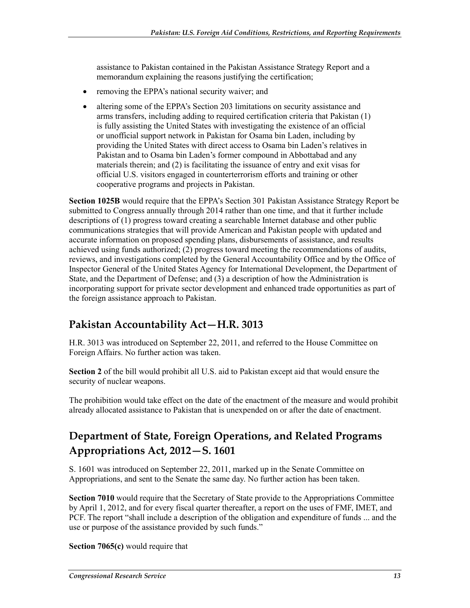assistance to Pakistan contained in the Pakistan Assistance Strategy Report and a memorandum explaining the reasons justifying the certification;

- removing the EPPA's national security waiver; and
- altering some of the EPPA's Section 203 limitations on security assistance and arms transfers, including adding to required certification criteria that Pakistan (1) is fully assisting the United States with investigating the existence of an official or unofficial support network in Pakistan for Osama bin Laden, including by providing the United States with direct access to Osama bin Laden's relatives in Pakistan and to Osama bin Laden's former compound in Abbottabad and any materials therein; and (2) is facilitating the issuance of entry and exit visas for official U.S. visitors engaged in counterterrorism efforts and training or other cooperative programs and projects in Pakistan.

**Section 1025B** would require that the EPPA's Section 301 Pakistan Assistance Strategy Report be submitted to Congress annually through 2014 rather than one time, and that it further include descriptions of (1) progress toward creating a searchable Internet database and other public communications strategies that will provide American and Pakistan people with updated and accurate information on proposed spending plans, disbursements of assistance, and results achieved using funds authorized; (2) progress toward meeting the recommendations of audits, reviews, and investigations completed by the General Accountability Office and by the Office of Inspector General of the United States Agency for International Development, the Department of State, and the Department of Defense; and (3) a description of how the Administration is incorporating support for private sector development and enhanced trade opportunities as part of the foreign assistance approach to Pakistan.

# **Pakistan Accountability Act—H.R. 3013**

H.R. 3013 was introduced on September 22, 2011, and referred to the House Committee on Foreign Affairs. No further action was taken.

**Section 2** of the bill would prohibit all U.S. aid to Pakistan except aid that would ensure the security of nuclear weapons.

The prohibition would take effect on the date of the enactment of the measure and would prohibit already allocated assistance to Pakistan that is unexpended on or after the date of enactment.

# **Department of State, Foreign Operations, and Related Programs Appropriations Act, 2012—S. 1601**

S. 1601 was introduced on September 22, 2011, marked up in the Senate Committee on Appropriations, and sent to the Senate the same day. No further action has been taken.

**Section 7010** would require that the Secretary of State provide to the Appropriations Committee by April 1, 2012, and for every fiscal quarter thereafter, a report on the uses of FMF, IMET, and PCF. The report "shall include a description of the obligation and expenditure of funds ... and the use or purpose of the assistance provided by such funds."

**Section 7065(c)** would require that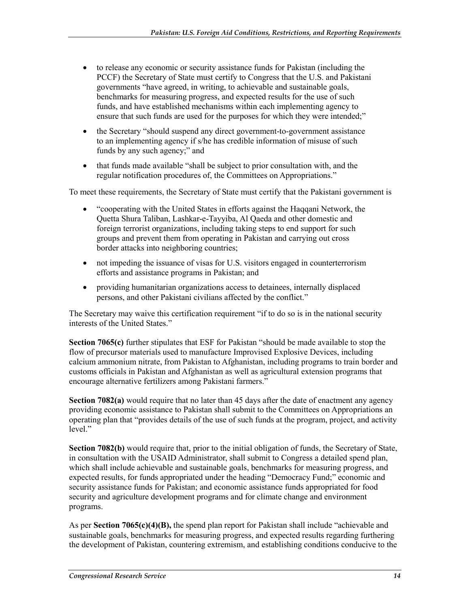- to release any economic or security assistance funds for Pakistan (including the PCCF) the Secretary of State must certify to Congress that the U.S. and Pakistani governments "have agreed, in writing, to achievable and sustainable goals, benchmarks for measuring progress, and expected results for the use of such funds, and have established mechanisms within each implementing agency to ensure that such funds are used for the purposes for which they were intended;"
- the Secretary "should suspend any direct government-to-government assistance to an implementing agency if s/he has credible information of misuse of such funds by any such agency;" and
- that funds made available "shall be subject to prior consultation with, and the regular notification procedures of, the Committees on Appropriations."

To meet these requirements, the Secretary of State must certify that the Pakistani government is

- "cooperating with the United States in efforts against the Haqqani Network, the Quetta Shura Taliban, Lashkar-e-Tayyiba, Al Qaeda and other domestic and foreign terrorist organizations, including taking steps to end support for such groups and prevent them from operating in Pakistan and carrying out cross border attacks into neighboring countries;
- not impeding the issuance of visas for U.S. visitors engaged in counterterrorism efforts and assistance programs in Pakistan; and
- providing humanitarian organizations access to detainees, internally displaced persons, and other Pakistani civilians affected by the conflict."

The Secretary may waive this certification requirement "if to do so is in the national security interests of the United States."

**Section 7065(c)** further stipulates that ESF for Pakistan "should be made available to stop the flow of precursor materials used to manufacture Improvised Explosive Devices, including calcium ammonium nitrate, from Pakistan to Afghanistan, including programs to train border and customs officials in Pakistan and Afghanistan as well as agricultural extension programs that encourage alternative fertilizers among Pakistani farmers."

**Section 7082(a)** would require that no later than 45 days after the date of enactment any agency providing economic assistance to Pakistan shall submit to the Committees on Appropriations an operating plan that "provides details of the use of such funds at the program, project, and activity level."

**Section 7082(b)** would require that, prior to the initial obligation of funds, the Secretary of State, in consultation with the USAID Administrator, shall submit to Congress a detailed spend plan, which shall include achievable and sustainable goals, benchmarks for measuring progress, and expected results, for funds appropriated under the heading "Democracy Fund;" economic and security assistance funds for Pakistan; and economic assistance funds appropriated for food security and agriculture development programs and for climate change and environment programs.

As per **Section 7065(c)(4)(B),** the spend plan report for Pakistan shall include "achievable and sustainable goals, benchmarks for measuring progress, and expected results regarding furthering the development of Pakistan, countering extremism, and establishing conditions conducive to the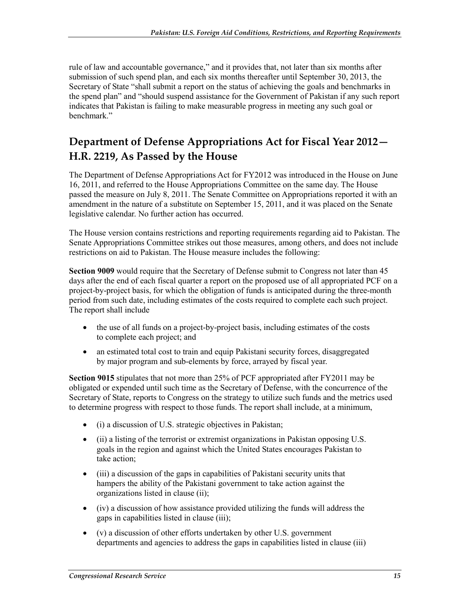rule of law and accountable governance," and it provides that, not later than six months after submission of such spend plan, and each six months thereafter until September 30, 2013, the Secretary of State "shall submit a report on the status of achieving the goals and benchmarks in the spend plan" and "should suspend assistance for the Government of Pakistan if any such report indicates that Pakistan is failing to make measurable progress in meeting any such goal or benchmark."

# **Department of Defense Appropriations Act for Fiscal Year 2012— H.R. 2219, As Passed by the House**

The Department of Defense Appropriations Act for FY2012 was introduced in the House on June 16, 2011, and referred to the House Appropriations Committee on the same day. The House passed the measure on July 8, 2011. The Senate Committee on Appropriations reported it with an amendment in the nature of a substitute on September 15, 2011, and it was placed on the Senate legislative calendar. No further action has occurred.

The House version contains restrictions and reporting requirements regarding aid to Pakistan. The Senate Appropriations Committee strikes out those measures, among others, and does not include restrictions on aid to Pakistan. The House measure includes the following:

**Section 9009** would require that the Secretary of Defense submit to Congress not later than 45 days after the end of each fiscal quarter a report on the proposed use of all appropriated PCF on a project-by-project basis, for which the obligation of funds is anticipated during the three-month period from such date, including estimates of the costs required to complete each such project. The report shall include

- the use of all funds on a project-by-project basis, including estimates of the costs to complete each project; and
- an estimated total cost to train and equip Pakistani security forces, disaggregated by major program and sub-elements by force, arrayed by fiscal year.

**Section 9015** stipulates that not more than 25% of PCF appropriated after FY2011 may be obligated or expended until such time as the Secretary of Defense, with the concurrence of the Secretary of State, reports to Congress on the strategy to utilize such funds and the metrics used to determine progress with respect to those funds. The report shall include, at a minimum,

- (i) a discussion of U.S. strategic objectives in Pakistan;
- (ii) a listing of the terrorist or extremist organizations in Pakistan opposing U.S. goals in the region and against which the United States encourages Pakistan to take action;
- (iii) a discussion of the gaps in capabilities of Pakistani security units that hampers the ability of the Pakistani government to take action against the organizations listed in clause (ii);
- (iv) a discussion of how assistance provided utilizing the funds will address the gaps in capabilities listed in clause (iii);
- (v) a discussion of other efforts undertaken by other U.S. government departments and agencies to address the gaps in capabilities listed in clause (iii)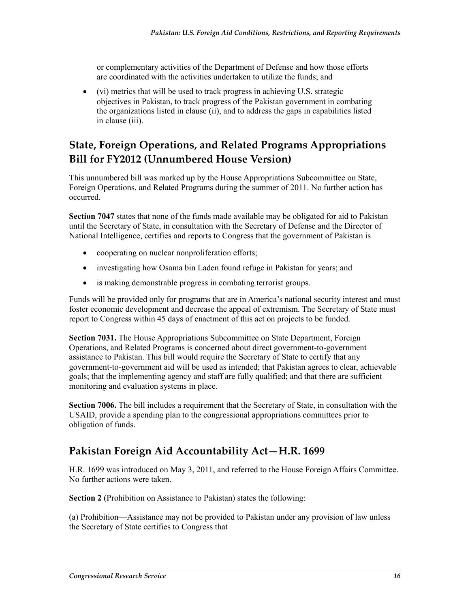or complementary activities of the Department of Defense and how those efforts are coordinated with the activities undertaken to utilize the funds; and

• (vi) metrics that will be used to track progress in achieving U.S. strategic objectives in Pakistan, to track progress of the Pakistan government in combating the organizations listed in clause (ii), and to address the gaps in capabilities listed in clause (iii).

# **State, Foreign Operations, and Related Programs Appropriations Bill for FY2012 (Unnumbered House Version)**

This unnumbered bill was marked up by the House Appropriations Subcommittee on State, Foreign Operations, and Related Programs during the summer of 2011. No further action has occurred.

**Section 7047** states that none of the funds made available may be obligated for aid to Pakistan until the Secretary of State, in consultation with the Secretary of Defense and the Director of National Intelligence, certifies and reports to Congress that the government of Pakistan is

- cooperating on nuclear nonproliferation efforts;
- investigating how Osama bin Laden found refuge in Pakistan for years; and
- is making demonstrable progress in combating terrorist groups.

Funds will be provided only for programs that are in America's national security interest and must foster economic development and decrease the appeal of extremism. The Secretary of State must report to Congress within 45 days of enactment of this act on projects to be funded.

**Section 7031.** The House Appropriations Subcommittee on State Department, Foreign Operations, and Related Programs is concerned about direct government-to-government assistance to Pakistan. This bill would require the Secretary of State to certify that any government-to-government aid will be used as intended; that Pakistan agrees to clear, achievable goals; that the implementing agency and staff are fully qualified; and that there are sufficient monitoring and evaluation systems in place.

**Section 7006.** The bill includes a requirement that the Secretary of State, in consultation with the USAID, provide a spending plan to the congressional appropriations committees prior to obligation of funds.

# **Pakistan Foreign Aid Accountability Act—H.R. 1699**

H.R. 1699 was introduced on May 3, 2011, and referred to the House Foreign Affairs Committee. No further actions were taken.

**Section 2** (Prohibition on Assistance to Pakistan) states the following:

(a) Prohibition—Assistance may not be provided to Pakistan under any provision of law unless the Secretary of State certifies to Congress that